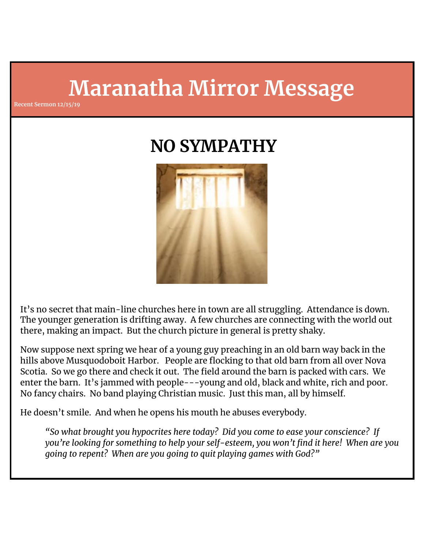# **Maranatha Mirror Message**

**Recent Sermon 12/15/19**

## **NO SYMPATHY**



It's no secret that main-line churches here in town are all struggling. Attendance is down. The younger generation is drifting away. A few churches are connecting with the world out there, making an impact. But the church picture in general is pretty shaky.

Now suppose next spring we hear of a young guy preaching in an old barn way back in the hills above Musquodoboit Harbor. People are flocking to that old barn from all over Nova Scotia. So we go there and check it out. The field around the barn is packed with cars. We enter the barn. It's jammed with people---young and old, black and white, rich and poor. No fancy chairs. No band playing Christian music. Just this man, all by himself.

He doesn't smile. And when he opens his mouth he abuses everybody.

*"So what brought you hypocrites here today? Did you come to ease your conscience? If you're looking for something to help your self-esteem, you won't find it here! When are you going to repent? When are you going to quit playing games with God?"*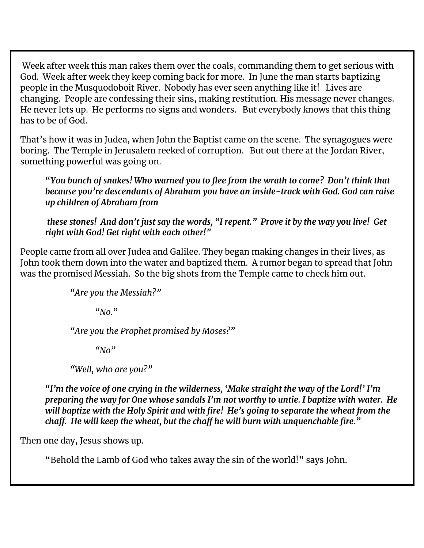Week after week this man rakes them over the coals, commanding them to get serious with God. Week after week they keep coming back for more. In June the man starts baptizing people in the Musquodoboit River. Nobody has ever seen anything like it! Lives are changing. People are confessing their sins, making restitution. His message never changes. He never lets up. He performs no signs and wonders. But everybody knows that this thing has to be of God.

That's how it was in Judea, when John the Baptist came on the scene. The synagogues were boring. The Temple in Jerusalem reeked of corruption. But out there at the Jordan River, something powerful was going on.

"*You bunch of snakes! Who warned you to flee from the wrath to come? Don't think that because you're descendants of Abraham you have an inside-track with God. God can raise up children of Abraham from*

*these stones! And don't just say the words, "I repent." Prove it by the way you live! Get right with God! Get right with each other!"*

People came from all over Judea and Galilee. They began making changes in their lives, as John took them down into the water and baptized them. A rumor began to spread that John was the promised Messiah. So the big shots from the Temple came to check him out.

```
"Are you the Messiah?"
```
*"No."*

*"Are you the Prophet promised by Moses?"*

*"No"*

*"Well, who are you?"*

*"I'm the voice of one crying in the wilderness, 'Make straight the way of the Lord!' I'm preparing the way for One whose sandals I'm not worthy to untie. I baptize with water. He will baptize with the Holy Spirit and with fire! He's going to separate the wheat from the chaff. He will keep the wheat, but the chaff he will burn with unquenchable fire."*

Then one day, Jesus shows up.

"Behold the Lamb of God who takes away the sin of the world!" says John.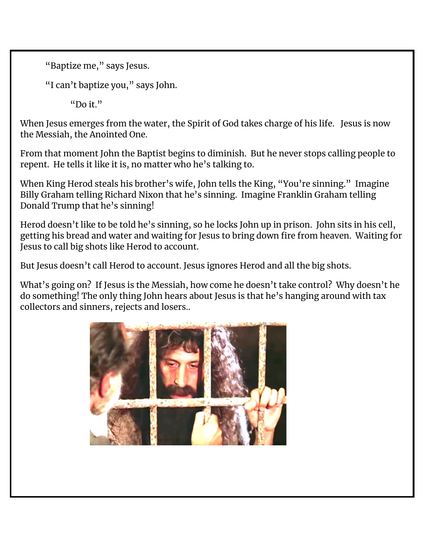```
"Baptize me," says Jesus.
```
"I can't baptize you," says John.

"Do it."

When Jesus emerges from the water, the Spirit of God takes charge of his life. Jesus is now the Messiah, the Anointed One.

From that moment John the Baptist begins to diminish. But he never stops calling people to repent. He tells it like it is, no matter who he's talking to.

When King Herod steals his brother's wife, John tells the King, "You're sinning." Imagine Billy Graham telling Richard Nixon that he's sinning. Imagine Franklin Graham telling Donald Trump that he's sinning!

Herod doesn't like to be told he's sinning, so he locks John up in prison. John sits in his cell, getting his bread and water and waiting for Jesus to bring down fire from heaven. Waiting for Jesus to call big shots like Herod to account.

But Jesus doesn't call Herod to account. Jesus ignores Herod and all the big shots.

What's going on? If Jesus is the Messiah, how come he doesn't take control? Why doesn't he do something! The only thing John hears about Jesus is that he's hanging around with tax collectors and sinners, rejects and losers..

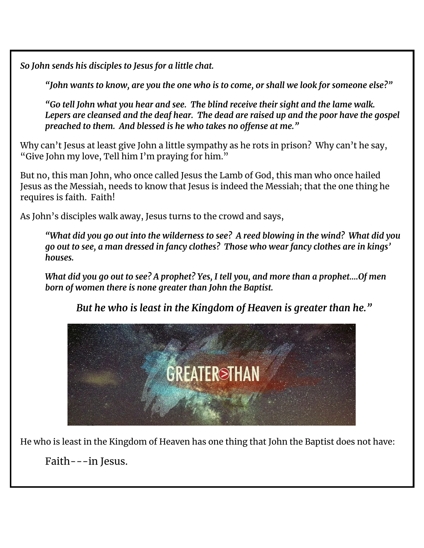*So John sends his disciples to Jesus for a little chat.*

*"John wants to know, are you the one who is to come, or shall we look for someone else?"*

*"Go tell John what you hear and see. The blind receive their sight and the lame walk. Lepers are cleansed and the deaf hear. The dead are raised up and the poor have the gospel preached to them. And blessed is he who takes no offense at me."*

Why can't Jesus at least give John a little sympathy as he rots in prison? Why can't he say, "Give John my love, Tell him I'm praying for him."

But no, this man John, who once called Jesus the Lamb of God, this man who once hailed Jesus as the Messiah, needs to know that Jesus is indeed the Messiah; that the one thing he requires is faith. Faith!

As John's disciples walk away, Jesus turns to the crowd and says,

*"What did you go out into the wilderness to see? A reed blowing in the wind? What did you go out to see, a man dressed in fancy clothes? Those who wear fancy clothes are in kings' houses.*

*What did you go out to see? A prophet? Yes, I tell you, and more than a prophet….Of men born of women there is none greater than John the Baptist.*

*But he who is least in the Kingdom of Heaven is greater than he."*



He who is least in the Kingdom of Heaven has one thing that John the Baptist does not have:

Faith---in Jesus.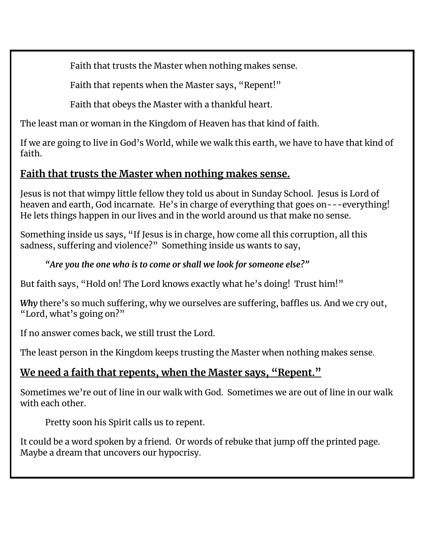Faith that trusts the Master when nothing makes sense.

Faith that repents when the Master says, "Repent!"

Faith that obeys the Master with a thankful heart.

The least man or woman in the Kingdom of Heaven has that kind of faith.

If we are going to live in God's World, while we walk this earth, we have to have that kind of faith.

## **Faith that trusts the Master when nothing makes sense.**

Jesus is not that wimpy little fellow they told us about in Sunday School. Jesus is Lord of heaven and earth, God incarnate. He's in charge of everything that goes on---everything! He lets things happen in our lives and in the world around us that make no sense.

Something inside us says, "If Jesus is in charge, how come all this corruption, all this sadness, suffering and violence?" Something inside us wants to say,

## *"Are you the one who is to come or shall we look for someone else?"*

But faith says, "Hold on! The Lord knows exactly what he's doing! Trust him!"

*Why* there's so much suffering, why we ourselves are suffering, baffles us. And we cry out, "Lord, what's going on?"

If no answer comes back, we still trust the Lord.

The least person in the Kingdom keeps trusting the Master when nothing makes sense.

## **We need a faith that repents, when the Master says, "Repent."**

Sometimes we're out of line in our walk with God. Sometimes we are out of line in our walk with each other.

Pretty soon his Spirit calls us to repent.

It could be a word spoken by a friend. Or words of rebuke that jump off the printed page. Maybe a dream that uncovers our hypocrisy.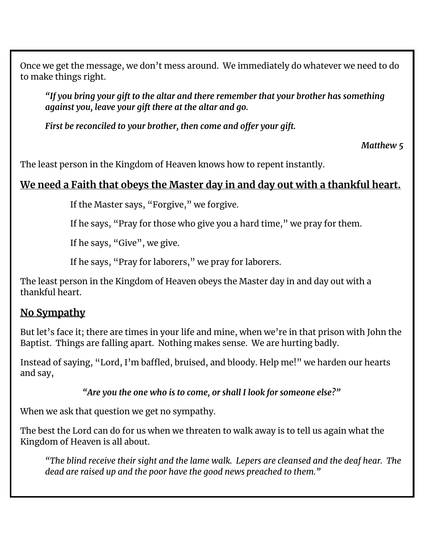Once we get the message, we don't mess around. We immediately do whatever we need to do to make things right.

*"If you bring your gift to the altar and there remember that your brother has something against you, leave your gift there at the altar and go.*

*First be reconciled to your brother, then come and offer your gift.*

*Matthew 5*

The least person in the Kingdom of Heaven knows how to repent instantly.

### **We need a Faith that obeys the Master day in and day out with a thankful heart.**

If the Master says, "Forgive," we forgive.

If he says, "Pray for those who give you a hard time," we pray for them.

If he says, "Give", we give.

If he says, "Pray for laborers," we pray for laborers.

The least person in the Kingdom of Heaven obeys the Master day in and day out with a thankful heart.

### **No Sympathy**

But let's face it; there are times in your life and mine, when we're in that prison with John the Baptist. Things are falling apart. Nothing makes sense. We are hurting badly.

Instead of saying, "Lord, I'm baffled, bruised, and bloody. Help me!" we harden our hearts and say,

*"Are you the one who is to come, or shall I look for someone else?"*

When we ask that question we get no sympathy.

The best the Lord can do for us when we threaten to walk away is to tell us again what the Kingdom of Heaven is all about.

*"The blind receive their sight and the lame walk. Lepers are cleansed and the deaf hear. The dead are raised up and the poor have the good news preached to them."*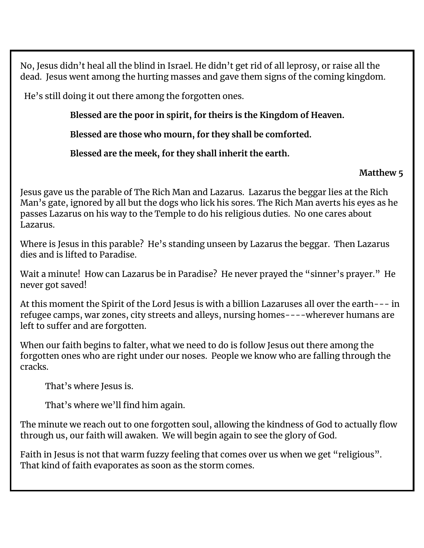No, Jesus didn't heal all the blind in Israel. He didn't get rid of all leprosy, or raise all the dead. Jesus went among the hurting masses and gave them signs of the coming kingdom.

He's still doing it out there among the forgotten ones.

**Blessed are the poor in spirit, for theirs is the Kingdom of Heaven.**

**Blessed are those who mourn, for they shall be comforted.**

**Blessed are the meek, for they shall inherit the earth.**

#### **Matthew 5**

Jesus gave us the parable of The Rich Man and Lazarus. Lazarus the beggar lies at the Rich Man's gate, ignored by all but the dogs who lick his sores. The Rich Man averts his eyes as he passes Lazarus on his way to the Temple to do his religious duties. No one cares about Lazarus.

Where is Jesus in this parable? He's standing unseen by Lazarus the beggar. Then Lazarus dies and is lifted to Paradise.

Wait a minute! How can Lazarus be in Paradise? He never prayed the "sinner's prayer." He never got saved!

At this moment the Spirit of the Lord Jesus is with a billion Lazaruses all over the earth--- in refugee camps, war zones, city streets and alleys, nursing homes----wherever humans are left to suffer and are forgotten.

When our faith begins to falter, what we need to do is follow Jesus out there among the forgotten ones who are right under our noses. People we know who are falling through the cracks.

That's where Jesus is.

That's where we'll find him again.

The minute we reach out to one forgotten soul, allowing the kindness of God to actually flow through us, our faith will awaken. We will begin again to see the glory of God.

Faith in Jesus is not that warm fuzzy feeling that comes over us when we get "religious". That kind of faith evaporates as soon as the storm comes.